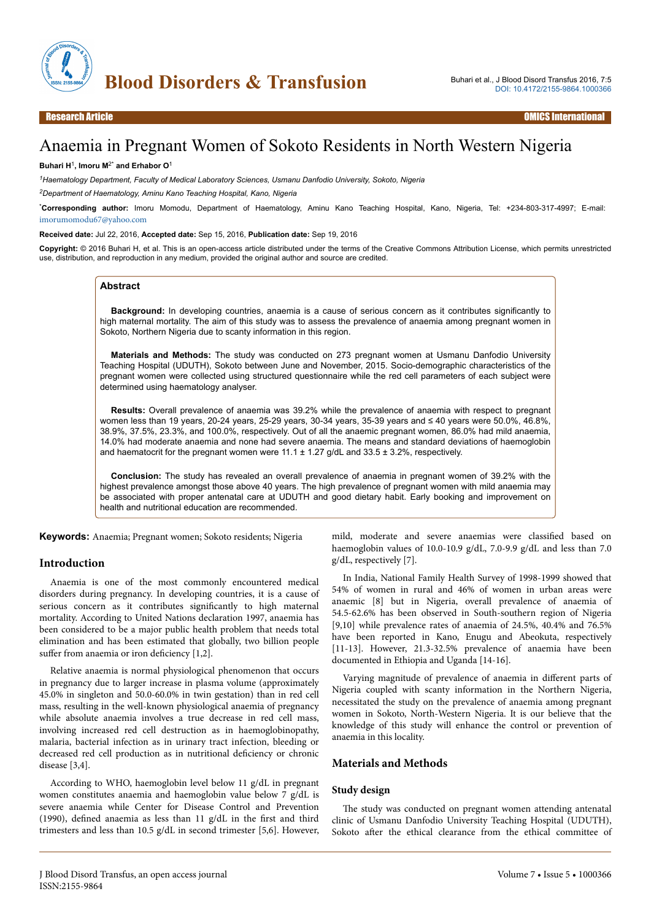

# Anaemia in Pregnant Women of Sokoto Residents in North Western Nigeria

#### **Buhari H**<sup>1</sup> **, Imoru M**2\* **and Erhabor O**<sup>1</sup>

*<sup>1</sup>Haematology Department, Faculty of Medical Laboratory Sciences, Usmanu Danfodio University, Sokoto, Nigeria*

*<sup>2</sup>Department of Haematology, Aminu Kano Teaching Hospital, Kano, Nigeria*

\***Corresponding author:** Imoru Momodu, Department of Haematology, Aminu Kano Teaching Hospital, Kano, Nigeria, Tel: +234-803-317-4997; E-mail: [imorumomodu67@yahoo.com](mailto:imorumomodu67@yahoo.com)

**Received date:** Jul 22, 2016, **Accepted date:** Sep 15, 2016, **Publication date:** Sep 19, 2016

**Copyright:** © 2016 Buhari H, et al. This is an open-access article distributed under the terms of the Creative Commons Attribution License, which permits unrestricted use, distribution, and reproduction in any medium, provided the original author and source are credited.

#### **Abstract**

**Background:** In developing countries, anaemia is a cause of serious concern as it contributes significantly to high maternal mortality. The aim of this study was to assess the prevalence of anaemia among pregnant women in Sokoto, Northern Nigeria due to scanty information in this region.

**Materials and Methods:** The study was conducted on 273 pregnant women at Usmanu Danfodio University Teaching Hospital (UDUTH), Sokoto between June and November, 2015. Socio-demographic characteristics of the pregnant women were collected using structured questionnaire while the red cell parameters of each subject were determined using haematology analyser.

**Results:** Overall prevalence of anaemia was 39.2% while the prevalence of anaemia with respect to pregnant women less than 19 years, 20-24 years, 25-29 years, 30-34 years, 35-39 years and ≤ 40 years were 50.0%, 46.8%, 38.9%, 37.5%, 23.3%, and 100.0%, respectively. Out of all the anaemic pregnant women, 86.0% had mild anaemia, 14.0% had moderate anaemia and none had severe anaemia. The means and standard deviations of haemoglobin and haematocrit for the pregnant women were  $11.1 \pm 1.27$  g/dL and  $33.5 \pm 3.2$ %, respectively.

**Conclusion:** The study has revealed an overall prevalence of anaemia in pregnant women of 39.2% with the highest prevalence amongst those above 40 years. The high prevalence of pregnant women with mild anaemia may be associated with proper antenatal care at UDUTH and good dietary habit. Early booking and improvement on health and nutritional education are recommended.

**Keywords:** Anaemia; Pregnant women; Sokoto residents; Nigeria

## **Introduction**

Anaemia is one of the most commonly encountered medical disorders during pregnancy. In developing countries, it is a cause of serious concern as it contributes significantly to high maternal mortality. According to United Nations declaration 1997, anaemia has been considered to be a major public health problem that needs total elimination and has been estimated that globally, two billion people suffer from anaemia or iron deficiency  $[1,2]$ .

Relative anaemia is normal physiological phenomenon that occurs in pregnancy due to larger increase in plasma volume (approximately 45.0% in singleton and 50.0-60.0% in twin gestation) than in red cell mass, resulting in the well-known physiological anaemia of pregnancy while absolute anaemia involves a true decrease in red cell mass, involving increased red cell destruction as in haemoglobinopathy, malaria, bacterial infection as in urinary tract infection, bleeding or decreased red cell production as in nutritional deficiency or chronic disease [3,4].

According to WHO, haemoglobin level below 11 g/dL in pregnant women constitutes anaemia and haemoglobin value below 7 g/dL is severe anaemia while Center for Disease Control and Prevention (1990), defined anaemia as less than 11 g/dL in the first and third trimesters and less than 10.5 g/dL in second trimester [5,6]. However, mild, moderate and severe anaemias were classified based on haemoglobin values of 10.0-10.9 g/dL, 7.0-9.9 g/dL and less than 7.0 g/dL, respectively [7].

In India, National Family Health Survey of 1998-1999 showed that 54% of women in rural and 46% of women in urban areas were anaemic [8] but in Nigeria, overall prevalence of anaemia of 54.5-62.6% has been observed in South-southern region of Nigeria [9,10] while prevalence rates of anaemia of 24.5%, 40.4% and 76.5% have been reported in Kano, Enugu and Abeokuta, respectively [11-13]. However, 21.3-32.5% prevalence of anaemia have been documented in Ethiopia and Uganda [14-16].

Varying magnitude of prevalence of anaemia in different parts of Nigeria coupled with scanty information in the Northern Nigeria, necessitated the study on the prevalence of anaemia among pregnant women in Sokoto, North-Western Nigeria. It is our believe that the knowledge of this study will enhance the control or prevention of anaemia in this locality.

## **Materials and Methods**

#### **Study design**

The study was conducted on pregnant women attending antenatal clinic of Usmanu Danfodio University Teaching Hospital (UDUTH), Sokoto after the ethical clearance from the ethical committee of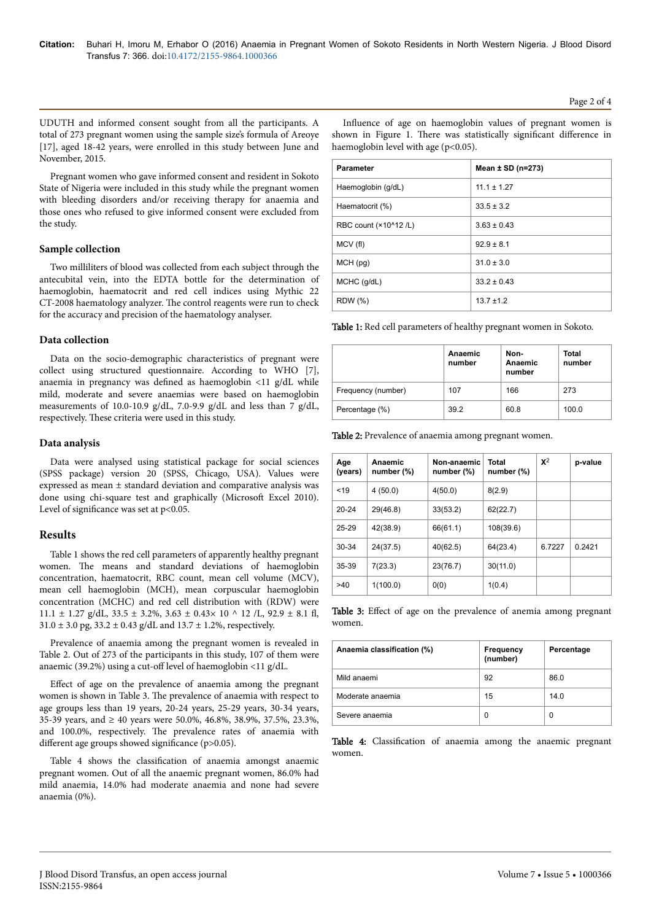UDUTH and informed consent sought from all the participants. A total of 273 pregnant women using the sample size's formula of Areoye [17], aged 18-42 years, were enrolled in this study between June and November, 2015.

Pregnant women who gave informed consent and resident in Sokoto State of Nigeria were included in this study while the pregnant women with bleeding disorders and/or receiving therapy for anaemia and those ones who refused to give informed consent were excluded from the study.

## **Sample collection**

Two milliliters of blood was collected from each subject through the antecubital vein, into the EDTA bottle for the determination of haemoglobin, haematocrit and red cell indices using Mythic 22 CT-2008 haematology analyzer. Нe control reagents were run to check for the accuracy and precision of the haematology analyser.

## **Data collection**

Data on the socio-demographic characteristics of pregnant were collect using structured questionnaire. According to WHO [7], anaemia in pregnancy was defined as haemoglobin <11 g/dL while mild, moderate and severe anaemias were based on haemoglobin measurements of 10.0-10.9 g/dL, 7.0-9.9 g/dL and less than 7 g/dL, respectively. Нese criteria were used in this study.

# **Data analysis**

Data were analysed using statistical package for social sciences (SPSS package) version 20 (SPSS, Chicago, USA). Values were expressed as mean ± standard deviation and comparative analysis was done using chi-square test and graphically (Microsoft Excel 2010). Level of significance was set at  $p<0.05$ .

# **Results**

Table 1 shows the red cell parameters of apparently healthy pregnant women. Нe means and standard deviations of haemoglobin concentration, haematocrit, RBC count, mean cell volume (MCV), mean cell haemoglobin (MCH), mean corpuscular haemoglobin concentration (MCHC) and red cell distribution with (RDW) were 11.1  $\pm$  1.27 g/dL, 33.5  $\pm$  3.2%, 3.63  $\pm$  0.43× 10 ^ 12 /L, 92.9  $\pm$  8.1 fl,  $31.0 \pm 3.0$  pg,  $33.2 \pm 0.43$  g/dL and  $13.7 \pm 1.2$ %, respectively.

Prevalence of anaemia among the pregnant women is revealed in Table 2. Out of 273 of the participants in this study, 107 of them were anaemic (39.2%) using a cut-off level of haemoglobin <11 g/dL.

Effect of age on the prevalence of anaemia among the pregnant women is shown in Table 3. Нe prevalence of anaemia with respect to age groups less than 19 years, 20-24 years, 25-29 years, 30-34 years, 35-39 years, and ≥ 40 years were 50.0%, 46.8%, 38.9%, 37.5%, 23.3%, and 100.0%, respectively. Нe prevalence rates of anaemia with different age groups showed significance ( $p > 0.05$ ).

Table 4 shows the classification of anaemia amongst anaemic pregnant women. Out of all the anaemic pregnant women, 86.0% had mild anaemia, 14.0% had moderate anaemia and none had severe anaemia (0%).

Influence of age on haemoglobin values of pregnant women is shown in Figure 1. There was statistically significant difference in haemoglobin level with age (p<0.05).

| <b>Parameter</b>      | Mean $\pm$ SD (n=273) |
|-----------------------|-----------------------|
| Haemoglobin (g/dL)    | $11.1 \pm 1.27$       |
| Haematocrit (%)       | $33.5 \pm 3.2$        |
| RBC count (×10^12 /L) | $3.63 \pm 0.43$       |
| MCV (fl)              | $92.9 \pm 8.1$        |
| MCH(pq)               | $31.0 \pm 3.0$        |
| $MCHC$ ( $g/dL$ )     | $33.2 \pm 0.43$       |
| <b>RDW</b> (%)        | $13.7 \pm 1.2$        |

Table 1: Red cell parameters of healthy pregnant women in Sokoto.

|                    | Anaemic<br>number | Non-<br>Anaemic<br>number | <b>Total</b><br>number |
|--------------------|-------------------|---------------------------|------------------------|
| Frequency (number) | 107               | 166                       | 273                    |
| Percentage (%)     | 39.2              | 60.8                      | 100.0                  |

Table 2: Prevalence of anaemia among pregnant women.

| Age<br>(years) | Anaemic<br>number (%) | Non-anaemic<br>number (%) | Total<br>number (%) | $\mathbf{X}^2$ | p-value |
|----------------|-----------------------|---------------------------|---------------------|----------------|---------|
| $19$           | 4(50.0)               | 4(50.0)                   | 8(2.9)              |                |         |
| $20 - 24$      | 29(46.8)              | 33(53.2)                  | 62(22.7)            |                |         |
| $25 - 29$      | 42(38.9)              | 66(61.1)                  | 108(39.6)           |                |         |
| 30-34          | 24(37.5)              | 40(62.5)                  | 64(23.4)            | 6.7227         | 0.2421  |
| 35-39          | 7(23.3)               | 23(76.7)                  | 30(11.0)            |                |         |
| >40            | 1(100.0)              | 0(0)                      | 1(0.4)              |                |         |

Table 3: Effect of age on the prevalence of anemia among pregnant women.

| Anaemia classification (%) | Frequency<br>(number) | Percentage |
|----------------------------|-----------------------|------------|
| Mild anaemi                | 92                    | 86.0       |
| Moderate anaemia           | 15                    | 14.0       |
| Severe anaemia             | 0                     | 0          |

Table 4: Classification of anaemia among the anaemic pregnant women.

Page 2 of 4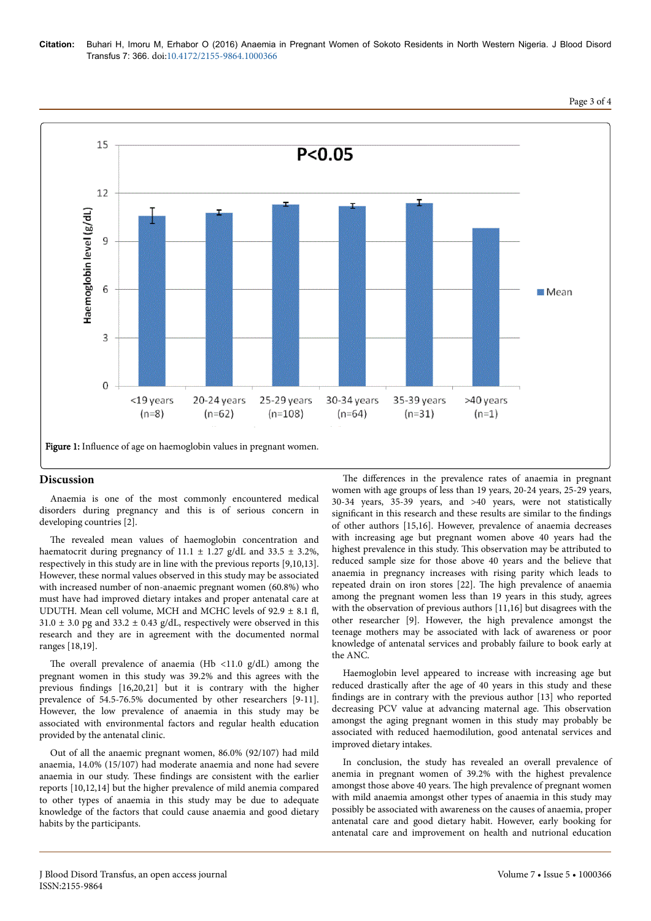



# **Discussion**

Anaemia is one of the most commonly encountered medical disorders during pregnancy and this is of serious concern in developing countries [2].

The revealed mean values of haemoglobin concentration and haematocrit during pregnancy of 11.1  $\pm$  1.27 g/dL and 33.5  $\pm$  3.2%, respectively in this study are in line with the previous reports [9,10,13]. However, these normal values observed in this study may be associated with increased number of non-anaemic pregnant women (60.8%) who must have had improved dietary intakes and proper antenatal care at UDUTH. Mean cell volume, MCH and MCHC levels of  $92.9 \pm 8.1$  fl,  $31.0 \pm 3.0$  pg and  $33.2 \pm 0.43$  g/dL, respectively were observed in this research and they are in agreement with the documented normal ranges [18,19].

The overall prevalence of anaemia (Hb <11.0  $g/dL$ ) among the pregnant women in this study was 39.2% and this agrees with the previous findings  $[16,20,21]$  but it is contrary with the higher prevalence of 54.5-76.5% documented by other researchers [9-11]. However, the low prevalence of anaemia in this study may be associated with environmental factors and regular health education provided by the antenatal clinic.

Out of all the anaemic pregnant women, 86.0% (92/107) had mild anaemia, 14.0% (15/107) had moderate anaemia and none had severe anaemia in our study. These findings are consistent with the earlier reports [10,12,14] but the higher prevalence of mild anemia compared to other types of anaemia in this study may be due to adequate knowledge of the factors that could cause anaemia and good dietary habits by the participants.

The differences in the prevalence rates of anaemia in pregnant women with age groups of less than 19 years, 20-24 years, 25-29 years, 30-34 years, 35-39 years, and >40 years, were not statistically significant in this research and these results are similar to the findings of other authors [15,16]. However, prevalence of anaemia decreases with increasing age but pregnant women above 40 years had the highest prevalence in this study. This observation may be attributed to reduced sample size for those above 40 years and the believe that anaemia in pregnancy increases with rising parity which leads to repeated drain on iron stores [22]. Нe high prevalence of anaemia among the pregnant women less than 19 years in this study, agrees with the observation of previous authors [11,16] but disagrees with the other researcher [9]. However, the high prevalence amongst the teenage mothers may be associated with lack of awareness or poor knowledge of antenatal services and probably failure to book early at the ANC.

Haemoglobin level appeared to increase with increasing age but reduced drastically after the age of 40 years in this study and these findings are in contrary with the previous author [13] who reported decreasing PCV value at advancing maternal age. This observation amongst the aging pregnant women in this study may probably be associated with reduced haemodilution, good antenatal services and improved dietary intakes.

In conclusion, the study has revealed an overall prevalence of anemia in pregnant women of 39.2% with the highest prevalence amongst those above 40 years. Нe high prevalence of pregnant women with mild anaemia amongst other types of anaemia in this study may possibly be associated with awareness on the causes of anaemia, proper antenatal care and good dietary habit. However, early booking for antenatal care and improvement on health and nutrional education